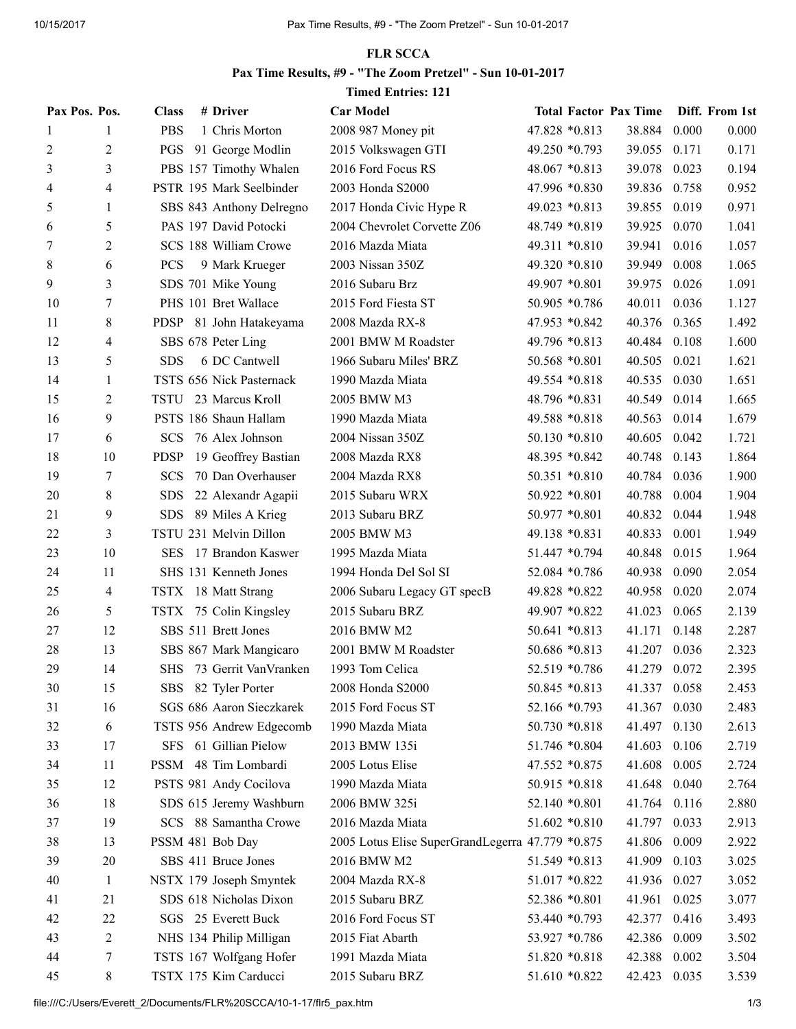## FLR SCCA

## Pax Time Results, #9 - "The Zoom Pretzel" - Sun 10-01-2017

## Timed Entries: 121

| Pax Pos. Pos. |                | <b>Class</b> | # Driver                  | <b>Car Model</b>                                 |                  | <b>Total Factor Pax Time</b> |       | Diff. From 1st |
|---------------|----------------|--------------|---------------------------|--------------------------------------------------|------------------|------------------------------|-------|----------------|
| 1             | 1              | <b>PBS</b>   | 1 Chris Morton            | 2008 987 Money pit                               | 47.828 *0.813    | 38.884                       | 0.000 | 0.000          |
| 2             | $\overline{c}$ | PGS          | 91 George Modlin          | 2015 Volkswagen GTI                              | 49.250 *0.793    | 39.055                       | 0.171 | 0.171          |
| 3             | 3              |              | PBS 157 Timothy Whalen    | 2016 Ford Focus RS                               | $48.067 * 0.813$ | 39.078                       | 0.023 | 0.194          |
| 4             | 4              |              | PSTR 195 Mark Seelbinder  | 2003 Honda S2000                                 | 47.996 *0.830    | 39.836                       | 0.758 | 0.952          |
| 5             | 1              |              | SBS 843 Anthony Delregno  | 2017 Honda Civic Hype R                          | 49.023 *0.813    | 39.855                       | 0.019 | 0.971          |
| 6             | 5              |              | PAS 197 David Potocki     | 2004 Chevrolet Corvette Z06                      | 48.749 *0.819    | 39.925                       | 0.070 | 1.041          |
| 7             | 2              |              | SCS 188 William Crowe     | 2016 Mazda Miata                                 | 49.311 *0.810    | 39.941                       | 0.016 | 1.057          |
| 8             | 6              | <b>PCS</b>   | 9 Mark Krueger            | 2003 Nissan 350Z                                 | 49.320 *0.810    | 39.949                       | 0.008 | 1.065          |
| 9             | 3              |              | SDS 701 Mike Young        | 2016 Subaru Brz                                  | 49.907 *0.801    | 39.975                       | 0.026 | 1.091          |
| 10            | 7              |              | PHS 101 Bret Wallace      | 2015 Ford Fiesta ST                              | 50.905 *0.786    | 40.011                       | 0.036 | 1.127          |
| 11            | 8              | <b>PDSP</b>  | 81 John Hatakeyama        | 2008 Mazda RX-8                                  | 47.953 *0.842    | 40.376                       | 0.365 | 1.492          |
| 12            | 4              |              | SBS 678 Peter Ling        | 2001 BMW M Roadster                              | 49.796 *0.813    | 40.484                       | 0.108 | 1.600          |
| 13            | 5              | <b>SDS</b>   | 6 DC Cantwell             | 1966 Subaru Miles' BRZ                           | 50.568 *0.801    | 40.505                       | 0.021 | 1.621          |
| 14            | $\mathbf{1}$   |              | TSTS 656 Nick Pasternack  | 1990 Mazda Miata                                 | 49.554 *0.818    | 40.535                       | 0.030 | 1.651          |
| 15            | 2              | TSTU         | 23 Marcus Kroll           | 2005 BMW M3                                      | 48.796 *0.831    | 40.549                       | 0.014 | 1.665          |
| 16            | 9              |              | PSTS 186 Shaun Hallam     | 1990 Mazda Miata                                 | 49.588 *0.818    | 40.563                       | 0.014 | 1.679          |
| 17            | 6              | <b>SCS</b>   | 76 Alex Johnson           | 2004 Nissan 350Z                                 | 50.130 *0.810    | 40.605                       | 0.042 | 1.721          |
| 18            | 10             | <b>PDSP</b>  | 19 Geoffrey Bastian       | 2008 Mazda RX8                                   | 48.395 *0.842    | 40.748                       | 0.143 | 1.864          |
| 19            | 7              | <b>SCS</b>   | 70 Dan Overhauser         | 2004 Mazda RX8                                   | 50.351 *0.810    | 40.784                       | 0.036 | 1.900          |
| 20            | 8              | <b>SDS</b>   | 22 Alexandr Agapii        | 2015 Subaru WRX                                  | 50.922 *0.801    | 40.788                       | 0.004 | 1.904          |
| 21            | 9              | <b>SDS</b>   | 89 Miles A Krieg          | 2013 Subaru BRZ                                  | 50.977 *0.801    | 40.832                       | 0.044 | 1.948          |
| 22            | 3              |              | TSTU 231 Melvin Dillon    | 2005 BMW M3                                      | 49.138 *0.831    | 40.833                       | 0.001 | 1.949          |
| 23            | 10             | <b>SES</b>   | 17 Brandon Kaswer         | 1995 Mazda Miata                                 | 51.447 *0.794    | 40.848                       | 0.015 | 1.964          |
| 24            | 11             |              | SHS 131 Kenneth Jones     | 1994 Honda Del Sol SI                            | 52.084 *0.786    | 40.938                       | 0.090 | 2.054          |
| 25            | 4              |              | TSTX 18 Matt Strang       | 2006 Subaru Legacy GT specB                      | 49.828 *0.822    | 40.958                       | 0.020 | 2.074          |
| 26            | 5              |              | TSTX 75 Colin Kingsley    | 2015 Subaru BRZ                                  | 49.907 *0.822    | 41.023                       | 0.065 | 2.139          |
| 27            | 12             |              | SBS 511 Brett Jones       | 2016 BMW M2                                      | 50.641 *0.813    | 41.171                       | 0.148 | 2.287          |
| 28            | 13             |              | SBS 867 Mark Mangicaro    | 2001 BMW M Roadster                              | 50.686 *0.813    | 41.207                       | 0.036 | 2.323          |
| 29            | 14             |              | SHS 73 Gerrit Van Vranken | 1993 Tom Celica                                  | 52.519 *0.786    | 41.279                       | 0.072 | 2.395          |
| 30            | 15             |              | SBS 82 Tyler Porter       | 2008 Honda S2000                                 | 50.845 *0.813    | 41.337                       | 0.058 | 2.453          |
| 31            | 16             |              | SGS 686 Aaron Sieczkarek  | 2015 Ford Focus ST                               | 52.166 *0.793    | 41.367                       | 0.030 | 2.483          |
| 32            | 6              |              | TSTS 956 Andrew Edgecomb  | 1990 Mazda Miata                                 | 50.730 *0.818    | 41.497                       | 0.130 | 2.613          |
| 33            | 17             |              | SFS 61 Gillian Pielow     | 2013 BMW 135i                                    | 51.746 *0.804    | 41.603                       | 0.106 | 2.719          |
| 34            | 11             |              | PSSM 48 Tim Lombardi      | 2005 Lotus Elise                                 | 47.552 *0.875    | 41.608                       | 0.005 | 2.724          |
| 35            | 12             |              | PSTS 981 Andy Cocilova    | 1990 Mazda Miata                                 | 50.915 *0.818    | 41.648                       | 0.040 | 2.764          |
| 36            | 18             |              | SDS 615 Jeremy Washburn   | 2006 BMW 325i                                    | 52.140 *0.801    | 41.764                       | 0.116 | 2.880          |
| 37            | 19             |              | SCS 88 Samantha Crowe     | 2016 Mazda Miata                                 | 51.602 *0.810    | 41.797                       | 0.033 | 2.913          |
| 38            | 13             |              | PSSM 481 Bob Day          | 2005 Lotus Elise SuperGrandLegerra 47.779 *0.875 |                  | 41.806                       | 0.009 | 2.922          |
| 39            | 20             |              | SBS 411 Bruce Jones       | 2016 BMW M2                                      | 51.549 *0.813    | 41.909                       | 0.103 | 3.025          |
| 40            | $\mathbf{1}$   |              | NSTX 179 Joseph Smyntek   | 2004 Mazda RX-8                                  | 51.017 *0.822    | 41.936                       | 0.027 | 3.052          |
| 41            | 21             |              | SDS 618 Nicholas Dixon    | 2015 Subaru BRZ                                  | 52.386 *0.801    | 41.961                       | 0.025 | 3.077          |
| 42            | 22             |              | SGS 25 Everett Buck       | 2016 Ford Focus ST                               | 53.440 *0.793    | 42.377                       | 0.416 | 3.493          |
| 43            | 2              |              | NHS 134 Philip Milligan   | 2015 Fiat Abarth                                 | 53.927 *0.786    | 42.386                       | 0.009 | 3.502          |
| 44            | 7              |              | TSTS 167 Wolfgang Hofer   | 1991 Mazda Miata                                 | 51.820 *0.818    | 42.388                       | 0.002 | 3.504          |
| 45            | 8              |              | TSTX 175 Kim Carducci     | 2015 Subaru BRZ                                  | 51.610 *0.822    | 42.423                       | 0.035 | 3.539          |
|               |                |              |                           |                                                  |                  |                              |       |                |

file:///C:/Users/Everett\_2/Documents/FLR%20SCCA/10-1-17/flr5\_pax.htm 1/3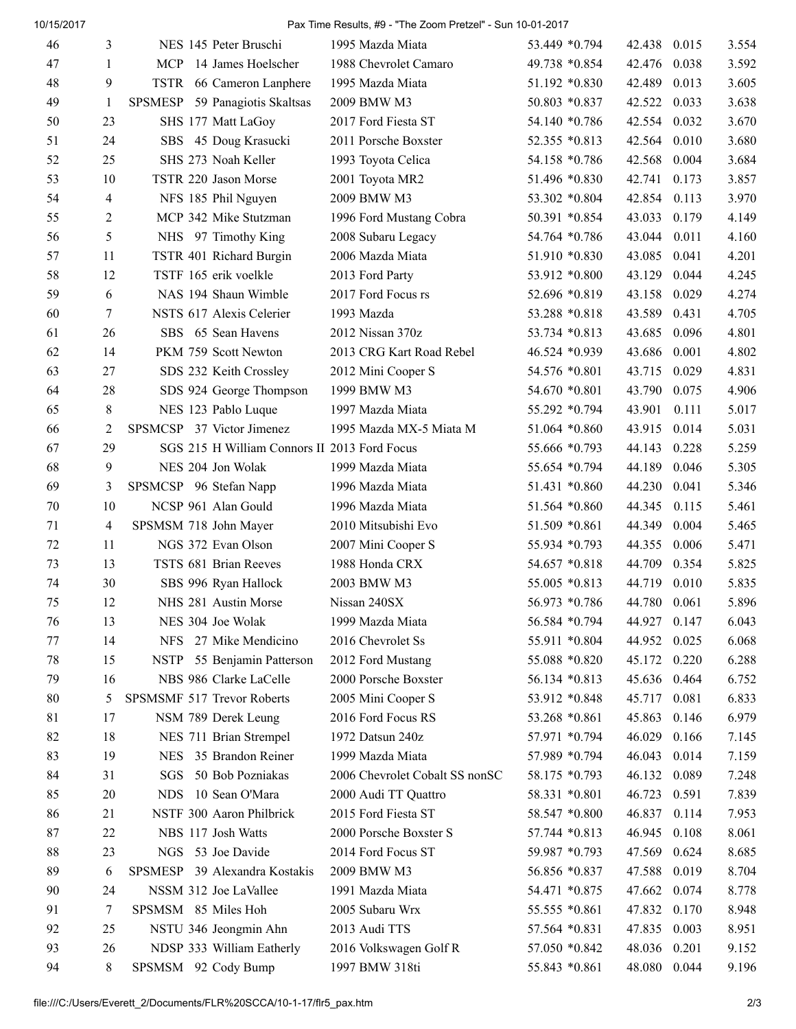10/15/2017 Pax Time Results, #9 - "The Zoom Pretzel" - Sun 10-01-2017

| 46 | 3              |      | NES 145 Peter Bruschi                        | 1995 Mazda Miata               | 53.449 *0.794  | 42.438       | 0.015 | 3.554 |
|----|----------------|------|----------------------------------------------|--------------------------------|----------------|--------------|-------|-------|
| 47 | 1              | MCP. | 14 James Hoelscher                           | 1988 Chevrolet Camaro          | 49.738 *0.854  | 42.476       | 0.038 | 3.592 |
| 48 | 9              |      | TSTR 66 Cameron Lanphere                     | 1995 Mazda Miata               | 51.192 *0.830  | 42.489       | 0.013 | 3.605 |
| 49 | 1              |      | SPSMESP 59 Panagiotis Skaltsas               | 2009 BMW M3                    | 50.803 *0.837  | 42.522       | 0.033 | 3.638 |
| 50 | 23             |      | SHS 177 Matt LaGoy                           | 2017 Ford Fiesta ST            | 54.140 *0.786  | 42.554       | 0.032 | 3.670 |
| 51 | 24             |      | SBS 45 Doug Krasucki                         | 2011 Porsche Boxster           | 52.355 *0.813  | 42.564       | 0.010 | 3.680 |
| 52 | 25             |      | SHS 273 Noah Keller                          | 1993 Toyota Celica             | 54.158 *0.786  | 42.568       | 0.004 | 3.684 |
| 53 | 10             |      | TSTR 220 Jason Morse                         | 2001 Toyota MR2                | 51.496 *0.830  | 42.741       | 0.173 | 3.857 |
| 54 | 4              |      | NFS 185 Phil Nguyen                          | 2009 BMW M3                    | 53.302 *0.804  | 42.854       | 0.113 | 3.970 |
| 55 | $\overline{c}$ |      | MCP 342 Mike Stutzman                        | 1996 Ford Mustang Cobra        | 50.391 *0.854  | 43.033       | 0.179 | 4.149 |
| 56 | 5              |      | NHS 97 Timothy King                          | 2008 Subaru Legacy             | 54.764 *0.786  | 43.044       | 0.011 | 4.160 |
| 57 | 11             |      | TSTR 401 Richard Burgin                      | 2006 Mazda Miata               | 51.910 *0.830  | 43.085       | 0.041 | 4.201 |
| 58 | 12             |      | TSTF 165 erik voelkle                        | 2013 Ford Party                | 53.912 *0.800  | 43.129       | 0.044 | 4.245 |
| 59 | 6              |      | NAS 194 Shaun Wimble                         | 2017 Ford Focus rs             | 52.696 *0.819  | 43.158       | 0.029 | 4.274 |
| 60 | 7              |      | NSTS 617 Alexis Celerier                     | 1993 Mazda                     | 53.288 *0.818  | 43.589       | 0.431 | 4.705 |
| 61 | 26             |      | SBS 65 Sean Havens                           | 2012 Nissan 370z               | 53.734 *0.813  | 43.685       | 0.096 | 4.801 |
| 62 | 14             |      | PKM 759 Scott Newton                         | 2013 CRG Kart Road Rebel       | 46.524 *0.939  | 43.686       | 0.001 | 4.802 |
| 63 | 27             |      | SDS 232 Keith Crossley                       | 2012 Mini Cooper S             | 54.576 *0.801  | 43.715       | 0.029 | 4.831 |
| 64 | 28             |      | SDS 924 George Thompson                      | 1999 BMW M3                    | 54.670 *0.801  | 43.790       | 0.075 | 4.906 |
| 65 | 8              |      | NES 123 Pablo Luque                          | 1997 Mazda Miata               | 55.292 *0.794  | 43.901       | 0.111 | 5.017 |
| 66 | 2              |      | SPSMCSP 37 Victor Jimenez                    | 1995 Mazda MX-5 Miata M        | 51.064 *0.860  | 43.915       | 0.014 | 5.031 |
| 67 | 29             |      | SGS 215 H William Connors II 2013 Ford Focus |                                | 55.666 *0.793  | 44.143       | 0.228 | 5.259 |
| 68 | 9              |      | NES 204 Jon Wolak                            | 1999 Mazda Miata               | 55.654 *0.794  | 44.189       | 0.046 | 5.305 |
| 69 | 3              |      | SPSMCSP 96 Stefan Napp                       | 1996 Mazda Miata               | 51.431 *0.860  | 44.230       | 0.041 | 5.346 |
| 70 | 10             |      | NCSP 961 Alan Gould                          | 1996 Mazda Miata               | 51.564 *0.860  | 44.345       | 0.115 | 5.461 |
| 71 | 4              |      | SPSMSM 718 John Mayer                        | 2010 Mitsubishi Evo            | 51.509 *0.861  | 44.349       | 0.004 | 5.465 |
| 72 | 11             |      | NGS 372 Evan Olson                           | 2007 Mini Cooper S             | 55.934 *0.793  | 44.355       | 0.006 | 5.471 |
| 73 | 13             |      | TSTS 681 Brian Reeves                        | 1988 Honda CRX                 | 54.657 *0.818  | 44.709       | 0.354 | 5.825 |
| 74 | 30             |      | SBS 996 Ryan Hallock                         | 2003 BMW M3                    | 55.005 *0.813  | 44.719       | 0.010 | 5.835 |
| 75 | 12             |      | NHS 281 Austin Morse                         | Nissan 240SX                   | 56.973 *0.786  | 44.780 0.061 |       | 5.896 |
| 76 | 13             |      | NES 304 Joe Wolak                            | 1999 Mazda Miata               | 56.584 *0.794  | 44.927       | 0.147 | 6.043 |
| 77 | 14             |      | NFS 27 Mike Mendicino                        | 2016 Chevrolet Ss              | 55.911 *0.804  | 44.952       | 0.025 | 6.068 |
| 78 | 15             |      | NSTP 55 Benjamin Patterson                   | 2012 Ford Mustang              | 55.088 *0.820  | 45.172 0.220 |       | 6.288 |
| 79 | 16             |      | NBS 986 Clarke LaCelle                       | 2000 Porsche Boxster           | 56.134 *0.813  | 45.636 0.464 |       | 6.752 |
| 80 | 5              |      | SPSMSMF 517 Trevor Roberts                   | 2005 Mini Cooper S             | 53.912 *0.848  | 45.717       | 0.081 | 6.833 |
| 81 | 17             |      | NSM 789 Derek Leung                          | 2016 Ford Focus RS             | 53.268 *0.861  | 45.863       | 0.146 | 6.979 |
| 82 | 18             |      | NES 711 Brian Strempel                       | 1972 Datsun 240z               | 57.971 *0.794  | 46.029       | 0.166 | 7.145 |
| 83 | 19             |      | NES 35 Brandon Reiner                        | 1999 Mazda Miata               | 57.989 *0.794  | 46.043       | 0.014 | 7.159 |
| 84 | 31             | SGS  | 50 Bob Pozniakas                             | 2006 Chevrolet Cobalt SS nonSC | 58.175 *0.793  | 46.132       | 0.089 | 7.248 |
| 85 | 20             |      | NDS 10 Sean O'Mara                           | 2000 Audi TT Quattro           | 58.331 *0.801  | 46.723       | 0.591 | 7.839 |
| 86 | 21             |      | NSTF 300 Aaron Philbrick                     | 2015 Ford Fiesta ST            | 58.547 *0.800  | 46.837       | 0.114 | 7.953 |
| 87 | 22             |      | NBS 117 Josh Watts                           | 2000 Porsche Boxster S         | 57.744 * 0.813 | 46.945       | 0.108 | 8.061 |
| 88 | 23             |      | NGS 53 Joe Davide                            | 2014 Ford Focus ST             | 59.987 *0.793  | 47.569       | 0.624 | 8.685 |
| 89 | 6              |      | SPSMESP 39 Alexandra Kostakis                | 2009 BMW M3                    | 56.856 *0.837  | 47.588       | 0.019 | 8.704 |
| 90 | 24             |      | NSSM 312 Joe LaVallee                        | 1991 Mazda Miata               | 54.471 *0.875  | 47.662       | 0.074 | 8.778 |
| 91 | 7              |      | SPSMSM 85 Miles Hoh                          | 2005 Subaru Wrx                | 55.555 *0.861  | 47.832       | 0.170 | 8.948 |
| 92 | 25             |      | NSTU 346 Jeongmin Ahn                        | 2013 Audi TTS                  | 57.564 *0.831  | 47.835       | 0.003 | 8.951 |
| 93 | 26             |      | NDSP 333 William Eatherly                    | 2016 Volkswagen Golf R         | 57.050 *0.842  | 48.036       | 0.201 | 9.152 |
| 94 | 8              |      | SPSMSM 92 Cody Bump                          | 1997 BMW 318ti                 | 55.843 *0.861  | 48.080 0.044 |       | 9.196 |